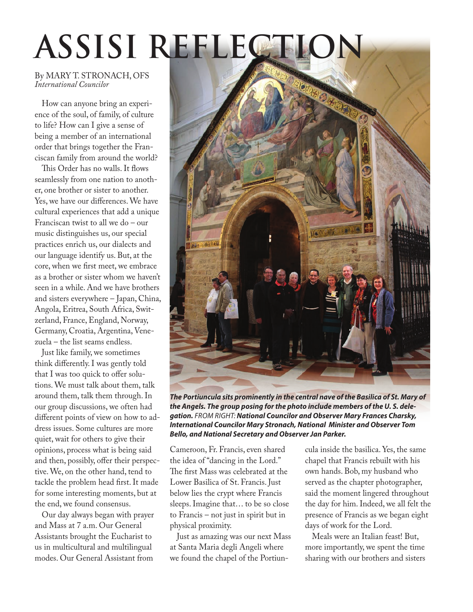# **ASSISI REFLECTION**

#### By MARY T. STRONACH, OFS *International Councilor*

How can anyone bring an experience of the soul, of family, of culture to life? How can I give a sense of being a member of an international order that brings together the Franciscan family from around the world?

This Order has no walls. It flows seamlessly from one nation to another, one brother or sister to another. Yes, we have our differences. We have cultural experiences that add a unique Franciscan twist to all we do – our music distinguishes us, our special practices enrich us, our dialects and our language identify us. But, at the core, when we first meet, we embrace as a brother or sister whom we haven't seen in a while. And we have brothers and sisters everywhere – Japan, China, Angola, Eritrea, South Africa, Switzerland, France, England, Norway, Germany, Croatia, Argentina, Venezuela – the list seams endless.

Just like family, we sometimes think differently. I was gently told that I was too quick to offer solutions. We must talk about them, talk around them, talk them through. In our group discussions, we often had different points of view on how to address issues. Some cultures are more quiet, wait for others to give their opinions, process what is being said and then, possibly, offer their perspective. We, on the other hand, tend to tackle the problem head first. It made for some interesting moments, but at the end, we found consensus.

Our day always began with prayer and Mass at 7 a.m. Our General Assistants brought the Eucharist to us in multicultural and multilingual modes. Our General Assistant from



*The Portiuncula sits prominently in the central nave of the Basilica of St. Mary of the Angels. The group posing for the photo include members of the U. S. delegation. FROM RIGHT: National Councilor and Observer Mary Frances Charsky, International Councilor Mary Stronach, National Minister and Observer Tom Bello, and National Secretary and Observer Jan Parker.* 

Cameroon, Fr. Francis, even shared the idea of "dancing in the Lord." The first Mass was celebrated at the Lower Basilica of St. Francis. Just below lies the crypt where Francis sleeps. Imagine that… to be so close to Francis – not just in spirit but in physical proximity.

Just as amazing was our next Mass at Santa Maria degli Angeli where we found the chapel of the Portiuncula inside the basilica. Yes, the same chapel that Francis rebuilt with his own hands. Bob, my husband who served as the chapter photographer, said the moment lingered throughout the day for him. Indeed, we all felt the presence of Francis as we began eight days of work for the Lord.

Meals were an Italian feast! But, more importantly, we spent the time sharing with our brothers and sisters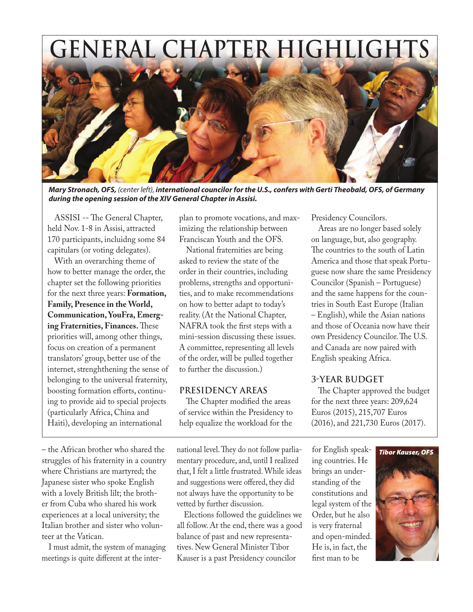## **GENERAL CHAPTER HIGHLIGHTS**



*Mary Stronach, OFS, (center left), international councilor for the U.S., confers with Gerti Theobald, OFS, of Germany during the opening session of the XIV General Chapter in Assisi.*

ASSISI -- The General Chapter, held Nov. 1-8 in Assisi, attracted 170 participants, incluidng some 84 capitulars (or voting delegates).

With an overarching theme of how to better manage the order, the chapter set the following priorities for the next three years: **Formation, Family, Presence in the World, Communication, YouFra, Emerging Fraternities, Finances.** These priorities will, among other things, focus on creation of a permanent translators' group, better use of the internet, strenghthening the sense of belonging to the universal fraternity, boosting formation efforts, continuing to provide aid to special projects (particularly Africa, China and Haiti), developing an international

– the African brother who shared the struggles of his fraternity in a country where Christians are martyred; the Japanese sister who spoke English with a lovely British lilt; the brother from Cuba who shared his work experiences at a local university; the Italian brother and sister who volunteer at the Vatican.

I must admit, the system of managing meetings is quite different at the interplan to promote vocations, and maximizing the relationship between Franciscan Youth and the OFS.

National fraternities are being asked to review the state of the order in their countries, including problems, strengths and opportunities, and to make recommendations on how to better adapt to today's reality. (At the National Chapter, NAFRA took the first steps with a mini-session discussing these issues. A committee, representing all levels of the order, will be pulled together to further the discussion.)

#### **PRESIDENCY AREAS**

The Chapter modified the areas of service within the Presidency to help equalize the workload for the

national level. They do not follow parliamentary procedure, and, until I realized that, I felt a little frustrated. While ideas and suggestions were offered, they did not always have the opportunity to be vetted by further discussion.

Elections followed the guidelines we all follow. At the end, there was a good balance of past and new representatives. New General Minister Tibor Kauser is a past Presidency councilor

Presidency Councilors.

Areas are no longer based solely on language, but, also geography. The countries to the south of Latin America and those that speak Portuguese now share the same Presidency Councilor (Spanish – Portuguese) and the same happens for the countries in South East Europe (Italian – English), while the Asian nations and those of Oceania now have their own Presidency Councilor. The U.S. and Canada are now paired with English speaking Africa.

#### **3-YEAR BUDGET**

The Chapter approved the budget for the next three years: 209,624 Euros (2015), 215,707 Euros (2016), and 221,730 Euros (2017).

for English speaking countries. He brings an understanding of the constitutions and legal system of the Order, but he also is very fraternal and open-minded. He is, in fact, the first man to be